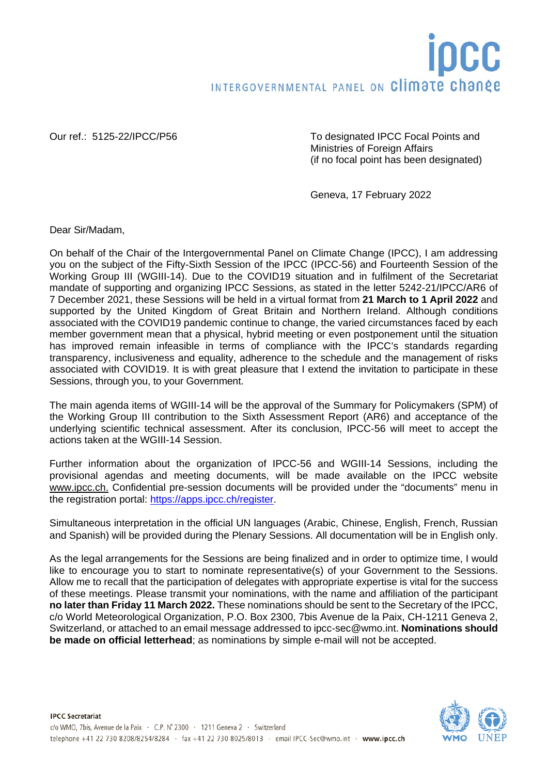Our ref.: 5125-22/IPCC/P56 To designated IPCC Focal Points and Ministries of Foreign Affairs (if no focal point has been designated)

Geneva, 17 February 2022

Dear Sir/Madam,

On behalf of the Chair of the Intergovernmental Panel on Climate Change (IPCC), I am addressing you on the subject of the Fifty-Sixth Session of the IPCC (IPCC-56) and Fourteenth Session of the Working Group III (WGIII-14). Due to the COVID19 situation and in fulfilment of the Secretariat mandate of supporting and organizing IPCC Sessions, as stated in the letter 5242-21/IPCC/AR6 of 7 December 2021, these Sessions will be held in a virtual format from **21 March to 1 April 2022** and supported by the United Kingdom of Great Britain and Northern Ireland. Although conditions associated with the COVID19 pandemic continue to change, the varied circumstances faced by each member government mean that a physical, hybrid meeting or even postponement until the situation has improved remain infeasible in terms of compliance with the IPCC's standards regarding transparency, inclusiveness and equality, adherence to the schedule and the management of risks associated with COVID19. It is with great pleasure that I extend the invitation to participate in these Sessions, through you, to your Government.

The main agenda items of WGIII-14 will be the approval of the Summary for Policymakers (SPM) of the Working Group III contribution to the Sixth Assessment Report (AR6) and acceptance of the underlying scientific technical assessment. After its conclusion, IPCC-56 will meet to accept the actions taken at the WGIII-14 Session.

Further information about the organization of IPCC-56 and WGIII-14 Sessions, including the provisional agendas and meeting documents, will be made available on the IPCC website [www.ipcc.ch.](http://www.ipcc.ch/) Confidential pre-session documents will be provided under the "documents" menu in the registration portal: [https://apps.ipcc.ch/register.](https://apps.ipcc.ch/register)

Simultaneous interpretation in the official UN languages (Arabic, Chinese, English, French, Russian and Spanish) will be provided during the Plenary Sessions. All documentation will be in English only.

As the legal arrangements for the Sessions are being finalized and in order to optimize time, I would like to encourage you to start to nominate representative(s) of your Government to the Sessions. Allow me to recall that the participation of delegates with appropriate expertise is vital for the success of these meetings. Please transmit your nominations, with the name and affiliation of the participant **no later than Friday 11 March 2022.** These nominations should be sent to the Secretary of the IPCC, c/o World Meteorological Organization, P.O. Box 2300, 7bis Avenue de la Paix, CH-1211 Geneva 2, Switzerland, or attached to an email message addressed to ipcc-sec@wmo.int. **Nominations should be made on official letterhead**; as nominations by simple e-mail will not be accepted.